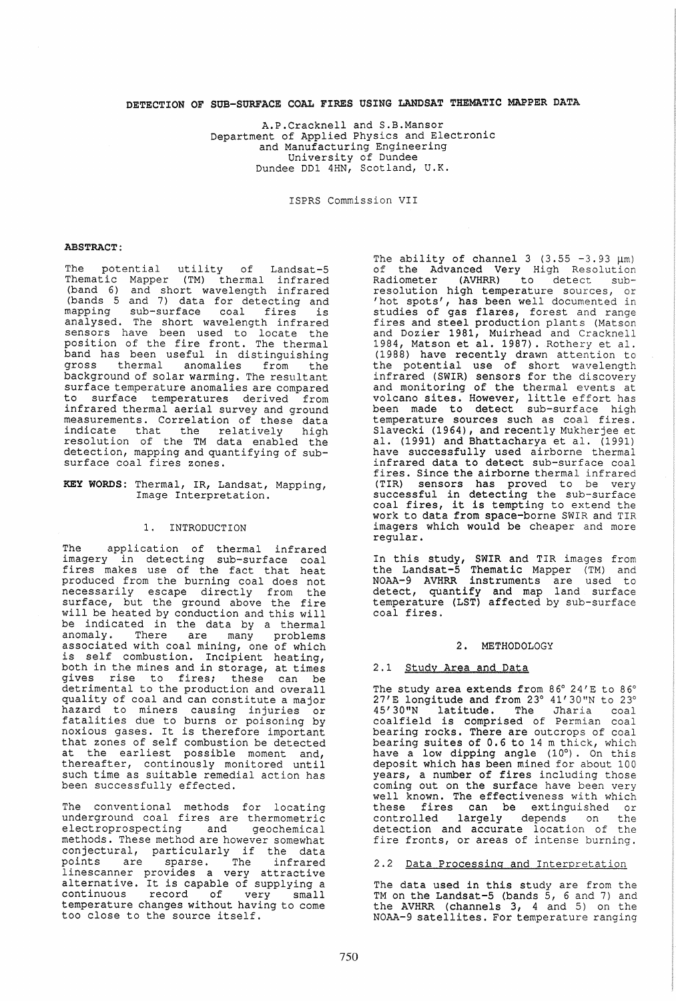## DETECTION OF SUB-SURFACE COAL FIRES USING LANDSAT THEMATIC MAPPER DATA

A.P.Cracknell and S.B.Mansor Department of Applied Physics and Electronic and Manufacturing Engineering University of Dundee Dundee DDl 4HN, Scotland, U.K.

ISPRS Commission VII

#### ABSTRACT:

The potential utility of Landsat-5 Thematic Mapper (TM) thermal infrared (band 6) and short wavelength infrared (bands 5 and 7) data for detecting and mapping sub-surface coal fires is analysed. The short wavelength infrared sensors have been used to locate the position of the fire front. The thermal band has been useful in distinguishing gross thermal anomalies from the background of solar warming. The resultant surface temperature anomalies are compared to surface temperatures derived from infrared thermal aerial survey and ground measurements. Correlation of these data indicate that the relatively high resolution of the TM data enabled the detection, mapping and quantifying of subsurface coal fires zones.

KEY WORDS: Thermal, IR, Landsat, Mapping, Image Interpretation.

### 1. INTRODUCTION

The application of thermal infrared imagery in detecting sup-surface coal Inagery The associating sas surface cont produced from the burning coal does not necessarily escape directly from the surface, but the ground above the fire will be heated by conduction and this will be indicated in the data by a thermal<br>anomaly. There are many problems many problems associated with coal mining, one of which is self combustion. Incipient heating, both in the mines and in storage, at times gives rise to fires; these can be detrimental to the production and overall quality of coal and can constitute a major hazard to miners causing injuries or fatalities due to burns or poisoning by noxious gases. It is therefore important that zones of self combustion be detected at the earliest possible moment and, thereafter, continously monitored until such time as suitable remedial action has been successfully effected.

The conventional methods for locating underground coal fires are thermometric electroprospecting and geochemical methods. These method are however somewhat methods: These method are however somewhat<br>conjectural, particularly if the data points are sparse. The infrared linescanner provides a very attractive indeterminative. It is capable of supplying a continuous record of very small continuous record of very small<br>temperature changes without having to come too close to the source itself.

The ability of channel 3  $(3.55 - 3.93 \mu m)$ of the Advanced Very High Resolution Radiometer (AVHRR) to detect subresolution high temperature sources, or 'hot spots', has been well documented in studies of gas flares, forest and range fires and steel production plants (Matson and Dozier 1981, Muirhead and Cracknell<br>1984, Matson et al. 1987). Rothery et al. (1988) have recently drawn attention to the potential use of short wavelength infrared (SWIR) sensors for the discovery and monitoring of the thermal events at volcano sites. However, little effort has been made to detect sub-surface high temperature sources such as coal fires. Slavecki (1964), and recently Mukherjee et al. (1991) and Bhattacharya et al. (1991) have successfully used airborne thermal infrared data to detect sub-surface coal fires. Since the airborne thermal infrared (TIR) sensors has proved to be very successful in detecting the sub-surface coal fires, it is tempting to extend the work to data from space-borne SWIR and TIR imagers which would be cheaper and more regular.

In this study, SWIR and TIR images from the Landsat-5 Thematic Mapper (TM) and NOAA-9 AVHRR instruments are used to detect, quantify and map land surface temperature (LST) affected by sub-surface coal fires.

#### 2. METHODOLOGY

### 2.1 Study Area and Data

The study area extends from  $86^{\circ}$  24' E to  $86^{\circ}$  $27'E$  longitude and from  $23^{\circ}$  41'30"N to  $23^{\circ}$ 45'30"N latitude. The Jharia coal coalfield is comprised of Permian coal bearing rocks. There are outcrops of coal bearing suites of 0.6 to 14 m thick, which have a low dipping angle (10°). On this deposit which has been mined for about 100 years, a number of fires including those coming out on the surface have been very well known. The effectiveness with which these fires can be extinguished or controlled largely depends on detection and accurate location of the fire fronts, or areas of intense burning.

#### 2.2 Data Processing and Interpretation

The data used in this study are from the TM on the Landsat-5 (bands 5, 6 and 7) and the AVHRR (channels 3, 4 and 5) on the NOAA-9 satellites. For temperature ranging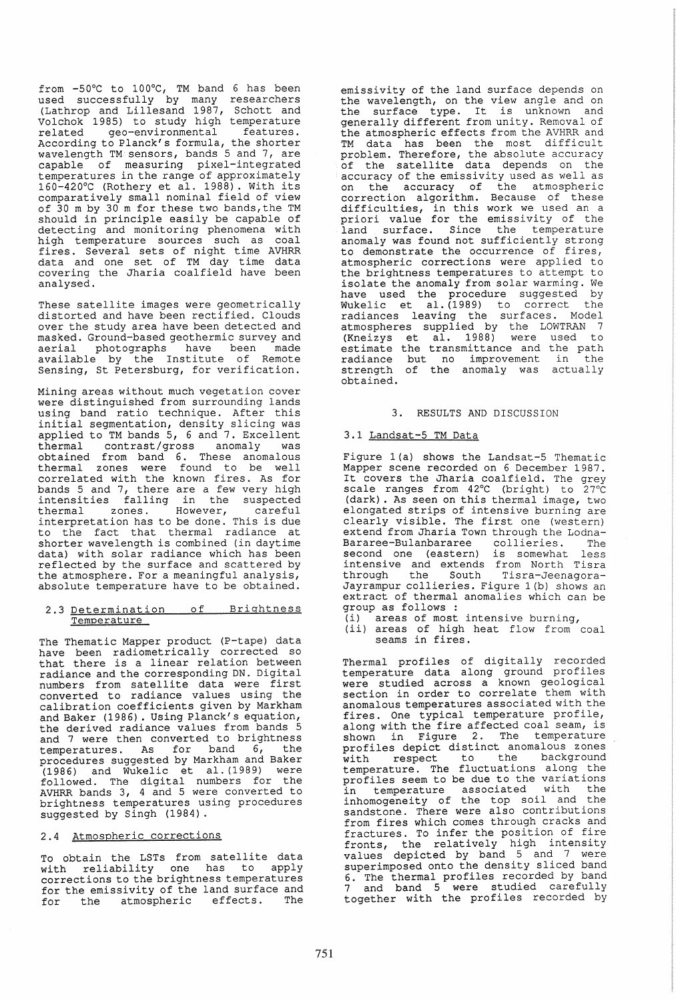from -50°C to 100°C, TM band 6 has been used successfully by many researchers (Lathrop and Lillesand 1987, Schott and Volchok 1985) to study high temperature related geo-environmental features. According to Planck's formula, the shorter wavelength TM sensors, bands 5 and 7, are capable of measuring pixel-integrated temperatures in the range of approximately 160-420°C (Rothery et al. 1988). With its comparatively small nominal field of view of 30 m by 30 m for these two bands, the TM should in principle easily be capable of detecting and monitoring phenomena with high temperature sources such as coal fires. Several sets of night time AVHRR data and one set of TM day time data covering the Jharia coalfield have been analysed.

These satellite images were geometrically distorted and have been rectified. Clouds over the study area have been detected and masked. Ground-based geothermic survey and aerial photographs have been made available by the Institute of Remote Sensing, St Petersburg, for verification.

Mining areas without much vegetation cover were distinguished from surrounding lands using band ratio technique. After this initial segmentation, density slicing was applied to TM bands 5, 6 and 7. Excellent thermal contrast/gross anomaly was obtained from band 6. These anomalous thermal zones were found to be well correlated with the known fires. As for bands 5 and 7, there are a few very high<br>intensities falling in the suspected falling in the suspected thermal zones. However, careful interpretation has to be done. This is due to the fact that thermal radiance at shorter wavelength is combined (in daytime data) with solar radiance which has been reflected by the surface and scattered by the atmosphere. For a meaningful analysis, absolute temperature have to be obtained.

# 2.3 Determination of Brightness Temperature

The Thematic Mapper product (P-tape) data have been radiometrically corrected so that there is a linear relation between radiance and the corresponding DN. Digital numbers from satellite data were first converted to radiance values using the calibration coefficients given by Markham and Baker (1986). Using Planck's equation, the derived radiance values from bands 5 and 7 were then converted to brightness temperatures. As for band 6, the procedures suggested by Markham and Baker (1986) and Wukelic et al. (1989) were<br>followed. The digital numbers for the AVHRR bands 3, 4 and 5 were converted to brightness temperatures using procedures suggested by Singh (1984).

## 2.4 Atmospheric corrections

To obtain the LSTs from satellite data with reliability one has to apply corrections to the brightness temperatures for the emissivity of the land surface and for the atmospheric effects. The

emissivity of the land surface depends on the wavelength, on the view angle and on<br>the surface type. It is unknown and generally different from unity. Removal of the atmospheric effects from the AVHRR and TM data has been the most difficult problem. Therefore, the absolute accuracy of the satellite data depends on the accuracy of the emissivity used as well as on the accuracy of the atmospheric correction algorithm. Because of these difficulties, in this work we used an a priori value for the emissivity of the .<br>land surface. Since the temperature anomaly was found not sufficiently strong to demonstrate the occurrence of fires, atmospheric corrections were applied to the brightness temperatures to attempt to isolate the anomaly from solar warming. We have used the procedure suggested by which is the presence engineer in the Wukelic et al. (1989) to correct the radiances leaving the surfaces. Model atmospheres supplied by the LOWTRAN 7 (Kneizys et al. 1988) were used to estimate the transmittance and the path radiance but no improvement in the strength of the anomaly was actually obtained.

### 3. RESULTS AND DISCUSSION

### 3.1 Landsat-5 TM Data

Figure l(a) shows the Landsat-5 Thematic Mapper scene recorded on 6 December 1987. It covers the Jharia coalfield. The grey scale ranges from 42°C (bright) to 27°C (dark) . As seen on this thermal image, two elongated strips of intensive burning are clearly visible. The first one (western) extend from Jharia Town through the Lodna-<br>Bararee-Bulanbararee collieries. The Bararee-Bulanbararee collieries. The second one (eastern) is somewhat less intensive and extends from North Tisra through the South Tisra-Jeenagorathrough the South Tisra-Jeenagora-<br>Jayrampur collieries. Figure 1(b) shows an extract of thermal anomalies which can be group as follows :

- (i) areas of most intensive burning,
- (ii) areas of high heat flow from coal seams in fires.

Thermal profiles of digitally recorded temperature data along ground profiles were studied across a known geological section in order to correlate them with anomalous temperatures associated with the fires. One typical temperature profile, along with the fire affected coal seam, is shown in Figure 2. The temperature profiles depict distinct anomalous zones with respect to the background temperature. The fluctuations along the profiles seem to be due to the variations in temperature associated with the inhomogeneity of the top soil and the sandstone. There were also contributions from fires which comes through cracks and fractures. To infer the position of fire fronts, the relatively high intensity values depicted by band 5 and 7 were superimposed onto the density sliced band 6. The thermal profiles recorded by band 7 and band 5 were studied carefully together with the profiles recorded by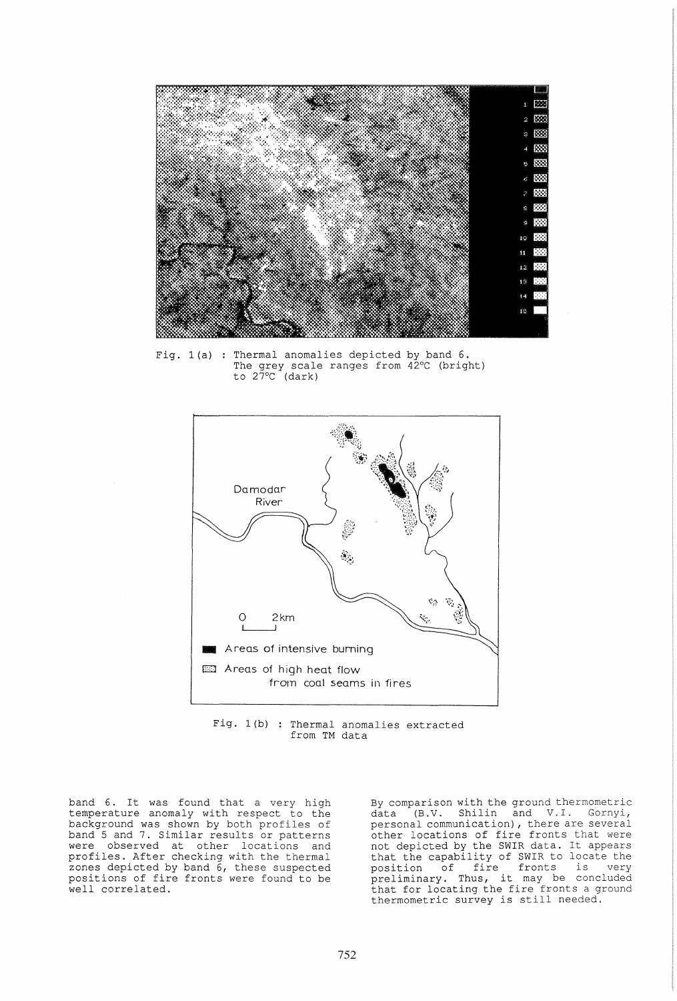

Fig. 1(a) : Thermal anomalies depicted by band 6. The grey scale ranges from 42°C (bright) to 27°C (dark)



Fig. 1(b) : Thermal anomalies extracted from TM data

band 6. It was found that a very high temperature anomaly with respect to the background was shown by both profiles of band 5 and 7. Similar results or patterns were observed at other locations and profiles. After checking with the thermal zones depicted by band 6, these suspected positions of fire fronts were found to be well correlated.

By comparison with the ground thermometric<br>data (B.V. Shilin and V.I. Gornyi, (B.V. Shilin and V.I. Gornyi, personal communication), there are several other locations of fire fronts that were not depicted by the SWIR data. It appears that the capability of SWIR to locate the position of fire fronts is very preliminary. Thus, it may be concluded prefiminary. Thus, it may be concluded<br>that for locating the fire fronts a ground thermometric survey is still needed.